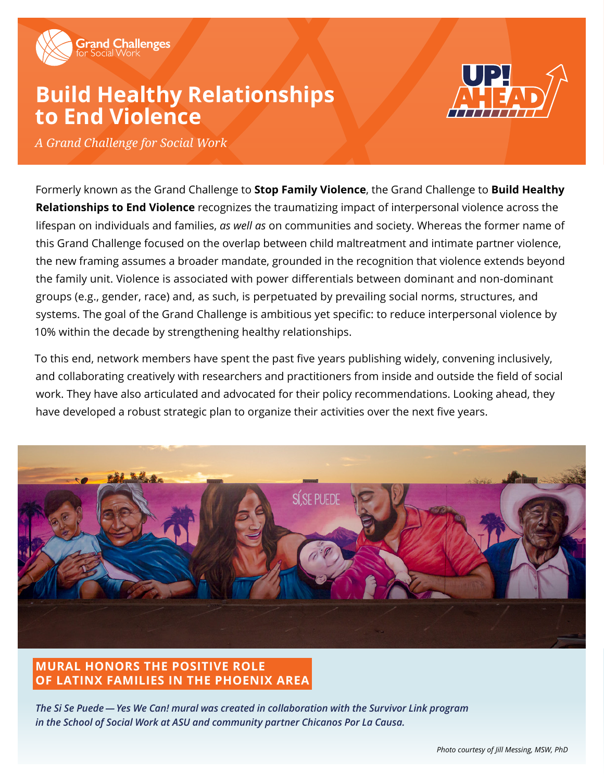

# **Build Healthy Relationships to End Violence**



*A Grand Challenge for Social Work*

Formerly known as the Grand Challenge to **Stop Family Violence**, the Grand Challenge to **Build Healthy Relationships to End Violence** recognizes the traumatizing impact of interpersonal violence across the lifespan on individuals and families, *as well as* on communities and society. Whereas the former name of this Grand Challenge focused on the overlap between child maltreatment and intimate partner violence, the new framing assumes a broader mandate, grounded in the recognition that violence extends beyond the family unit. Violence is associated with power differentials between dominant and non-dominant groups (e.g., gender, race) and, as such, is perpetuated by prevailing social norms, structures, and systems. The goal of the Grand Challenge is ambitious yet specific: to reduce interpersonal violence by 10% within the decade by strengthening healthy relationships.

To this end, network members have spent the past five years publishing widely, convening inclusively, and collaborating creatively with researchers and practitioners from inside and outside the field of social work. They have also articulated and advocated for their policy recommendations. Looking ahead, they have developed a robust strategic plan to organize their activities over the next five years.



### **MURAL HONORS THE POSITIVE ROLE OF LATINX FAMILIES IN THE PHOENIX AREA**

*The Si Se Puede — Yes We Can! mural was created in collaboration with the Survivor Link program in the School of Social Work at ASU and community partner Chicanos Por La Causa.*